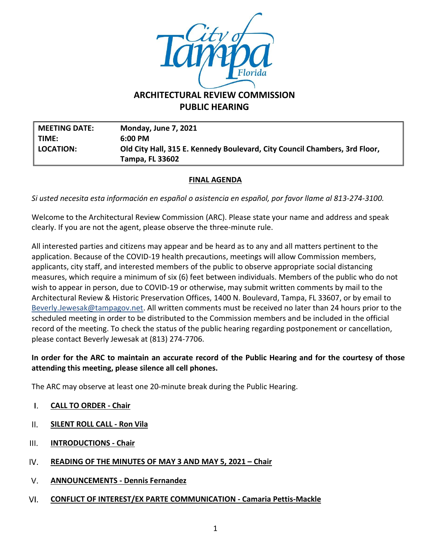

# **ARCHITECTURAL REVIEW COMMISSION PUBLIC HEARING**

**MEETING DATE: Monday, June 7, 2021 TIME: 6:00 PM LOCATION: Old City Hall, 315 E. Kennedy Boulevard, City Council Chambers, 3rd Floor, Tampa, FL 33602**

### **FINAL AGENDA**

*Si usted necesita esta información en español o asistencia en español, por favor llame al 813-274-3100.*

Welcome to the Architectural Review Commission (ARC). Please state your name and address and speak clearly. If you are not the agent, please observe the three-minute rule.

All interested parties and citizens may appear and be heard as to any and all matters pertinent to the application. Because of the COVID-19 health precautions, meetings will allow Commission members, applicants, city staff, and interested members of the public to observe appropriate social distancing measures, which require a minimum of six (6) feet between individuals. Members of the public who do not wish to appear in person, due to COVID-19 or otherwise, may submit written comments by mail to the Architectural Review & Historic Preservation Offices, 1400 N. Boulevard, Tampa, FL 33607, or by email to [Beverly.Jewesak@tampagov.net.](mailto:Beverly.Jewesak@tampagov.net) All written comments must be received no later than 24 hours prior to the scheduled meeting in order to be distributed to the Commission members and be included in the official record of the meeting. To check the status of the public hearing regarding postponement or cancellation, please contact Beverly Jewesak at (813) 274-7706.

### **In order for the ARC to maintain an accurate record of the Public Hearing and for the courtesy of those attending this meeting, please silence all cell phones.**

The ARC may observe at least one 20-minute break during the Public Hearing.

- $\mathbf{L}$ **CALL TO ORDER - Chair**
- $II.$ **SILENT ROLL CALL - Ron Vila**
- $III.$ **INTRODUCTIONS - Chair**
- IV. **READING OF THE MINUTES OF MAY 3 AND MAY 5, 2021 – Chair**
- $V_{\cdot}$ **ANNOUNCEMENTS - Dennis Fernandez**
- VI. **CONFLICT OF INTEREST/EX PARTE COMMUNICATION - Camaria Pettis-Mackle**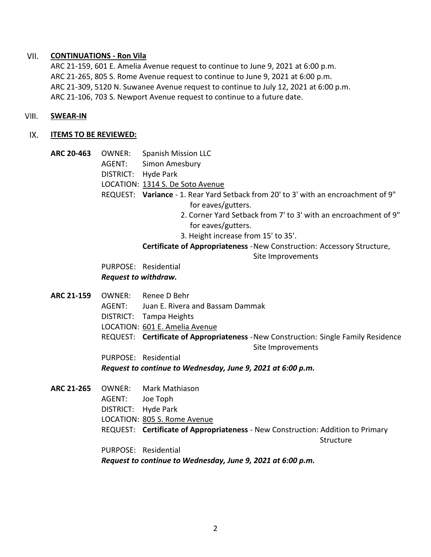#### VII. **CONTINUATIONS - Ron Vila**

ARC 21-159, 601 E. Amelia Avenue request to continue to June 9, 2021 at 6:00 p.m. ARC 21-265, 805 S. Rome Avenue request to continue to June 9, 2021 at 6:00 p.m. ARC 21-309, 5120 N. Suwanee Avenue request to continue to July 12, 2021 at 6:00 p.m. ARC 21-106, 703 S. Newport Avenue request to continue to a future date.

#### VIII. **SWEAR-IN**

#### IX. **ITEMS TO BE REVIEWED:**

**ARC 20-463** OWNER: Spanish Mission LLC AGENT: Simon Amesbury DISTRICT: Hyde Park LOCATION: 1314 S. De Soto Avenue REQUEST: **Variance** - 1. Rear Yard Setback from 20' to 3' with an encroachment of 9" for eaves/gutters. 2. Corner Yard Setback from 7' to 3' with an encroachment of 9" for eaves/gutters.

3. Height increase from 15' to 35'.

## **Certificate of Appropriateness** -New Construction: Accessory Structure,

Site Improvements

PURPOSE: Residential *Request to withdraw.*

**ARC 21-159** OWNER: Renee D Behr AGENT: Juan E. Rivera and Bassam Dammak DISTRICT: Tampa Heights LOCATION: 601 E. Amelia Avenue REQUEST: **Certificate of Appropriateness** -New Construction: Single Family Residence Site Improvements

PURPOSE: Residential

*Request to continue to Wednesday, June 9, 2021 at 6:00 p.m.*

**ARC 21-265** OWNER: Mark Mathiason AGENT: Joe Toph DISTRICT: Hyde Park LOCATION: 805 S. Rome Avenue REQUEST: **Certificate of Appropriateness** - New Construction: Addition to Primary **Structure** PURPOSE: Residential *Request to continue to Wednesday, June 9, 2021 at 6:00 p.m.*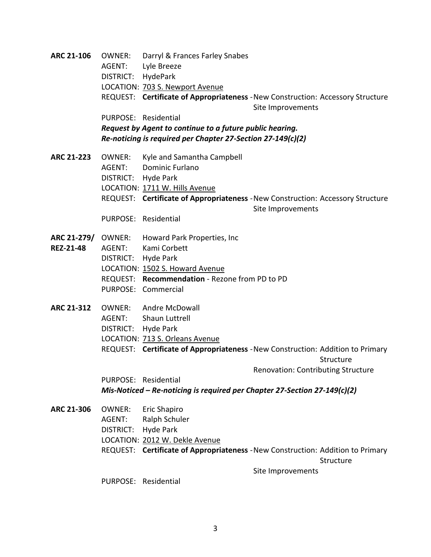**ARC 21-106** OWNER: Darryl & Frances Farley Snabes AGENT: Lyle Breeze DISTRICT: HydePark LOCATION: 703 S. Newport Avenue REQUEST: **Certificate of Appropriateness** -New Construction: Accessory Structure Site Improvements PURPOSE: Residential *Request by Agent to continue to a future public hearing. Re-noticing is required per Chapter 27-Section 27-149(c)(2)* **ARC 21-223** OWNER: Kyle and Samantha Campbell AGENT: Dominic Furlano DISTRICT: Hyde Park LOCATION: 1711 W. Hills Avenue REQUEST: **Certificate of Appropriateness** -New Construction: Accessory Structure Site Improvements PURPOSE: Residential **ARC 21-279/** OWNER: Howard Park Properties, Inc **REZ-21-48** AGENT: Kami Corbett DISTRICT: Hyde Park LOCATION: 1502 S. Howard Avenue REQUEST: **Recommendation** - Rezone from PD to PD PURPOSE: Commercial **ARC 21-312** OWNER: Andre McDowall AGENT: Shaun Luttrell DISTRICT: Hyde Park LOCATION: 713 S. Orleans Avenue REQUEST: **Certificate of Appropriateness** -New Construction: Addition to Primary **Structure** Renovation: Contributing Structure PURPOSE: Residential *Mis-Noticed – Re-noticing is required per Chapter 27-Section 27-149(c)(2)* **ARC 21-306** OWNER: Eric Shapiro AGENT: Ralph Schuler DISTRICT: Hyde Park LOCATION: 2012 W. Dekle Avenue REQUEST: **Certificate of Appropriateness** -New Construction: Addition to Primary **Structure** Site Improvements PURPOSE: Residential